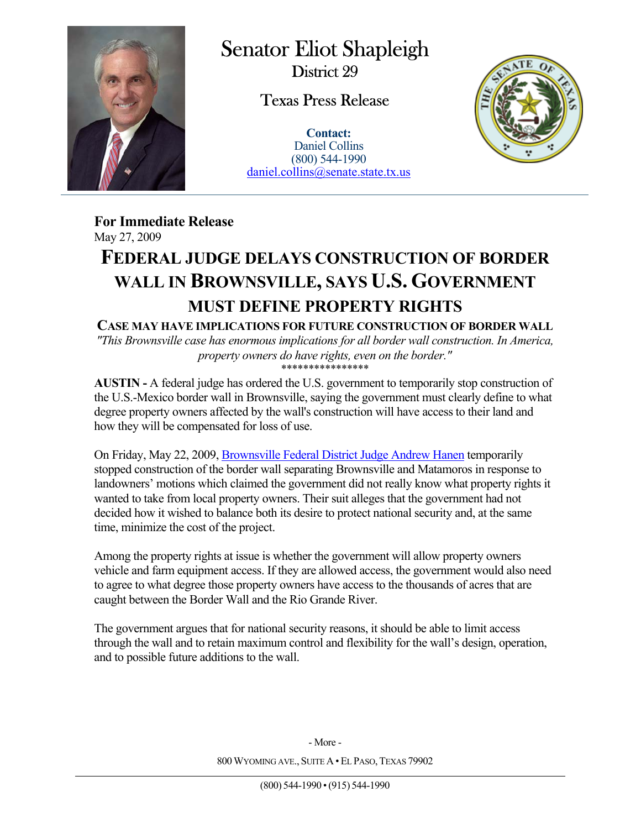

 $\overline{a}$ 

Senator Eliot Shapleigh District 29

Texas Press Release

**Contact:** Daniel Collins (800) 544-1990 daniel.collins@senate.state.tx.us



**For Immediate Release**  May 27, 2009

## **FEDERAL JUDGE DELAYS CONSTRUCTION OF BORDER WALL IN BROWNSVILLE, SAYS U.S. GOVERNMENT MUST DEFINE PROPERTY RIGHTS**

**CASE MAY HAVE IMPLICATIONS FOR FUTURE CONSTRUCTION OF BORDER WALL**  *"This Brownsville case has enormous implications for all border wall construction. In America, property owners do have rights, even on the border."* 

\*\*\*\*\*\*\*\*\*\*\*\*\*\*\*\*

**AUSTIN -** A federal judge has ordered the U.S. government to temporarily stop construction of the U.S.-Mexico border wall in Brownsville, saying the government must clearly define to what degree property owners affected by the wall's construction will have access to their land and how they will be compensated for loss of use.

On Friday, May 22, 2009, Brownsville Federal District Judge Andrew Hanen temporarily stopped construction of the border wall separating Brownsville and Matamoros in response to landowners' motions which claimed the government did not really know what property rights it wanted to take from local property owners. Their suit alleges that the government had not decided how it wished to balance both its desire to protect national security and, at the same time, minimize the cost of the project.

Among the property rights at issue is whether the government will allow property owners vehicle and farm equipment access. If they are allowed access, the government would also need to agree to what degree those property owners have access to the thousands of acres that are caught between the Border Wall and the Rio Grande River.

The government argues that for national security reasons, it should be able to limit access through the wall and to retain maximum control and flexibility for the wall's design, operation, and to possible future additions to the wall.